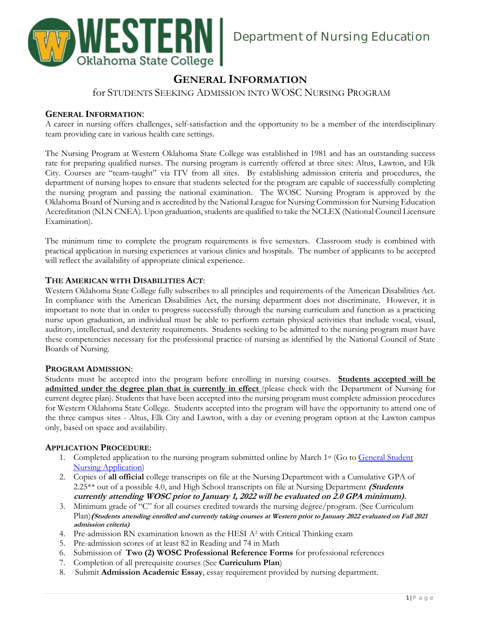

# **GENERAL INFORMATION**

for STUDENTS SEEKING ADMISSION INTO WOSC NURSING PROGRAM

# **GENERAL INFORMATION**:

A career in nursing offers challenges, self-satisfaction and the opportunity to be a member of the interdisciplinary team providing care in various health care settings.

The Nursing Program at Western Oklahoma State College was established in 1981 and has an outstanding success rate for preparing qualified nurses. The nursing program is currently offered at three sites: Altus, Lawton, and Elk City. Courses are "team-taught" via ITV from all sites. By establishing admission criteria and procedures, the department of nursing hopes to ensure that students selected for the program are capable of successfully completing the nursing program and passing the national examination. The WOSC Nursing Program is approved by the Oklahoma Board of Nursing and is accredited by the National League for Nursing Commission for Nursing Education Accreditation (NLN CNEA). Upon graduation, students are qualified to take the NCLEX (National Council Licensure Examination).

The minimum time to complete the program requirements is five semesters. Classroom study is combined with practical application in nursing experiences at various clinics and hospitals. The number of applicants to be accepted will reflect the availability of appropriate clinical experience.

# **THE AMERICAN WITH DISABILITIES ACT**:

Western Oklahoma State College fully subscribes to all principles and requirements of the American Disabilities Act. In compliance with the American Disabilities Act, the nursing department does not discriminate. However, it is important to note that in order to progress successfully through the nursing curriculum and function as a practicing nurse upon graduation, an individual must be able to perform certain physical activities that include vocal, visual, auditory, intellectual, and dexterity requirements. Students seeking to be admitted to the nursing program must have these competencies necessary for the professional practice of nursing as identified by the National Council of State Boards of Nursing.

# **PROGRAM ADMISSION**:

Students must be accepted into the program before enrolling in nursing courses. **Students accepted will be admitted under the degree plan that is currently in effect** (please check with the Department of Nursing for current degree plan). Students that have been accepted into the nursing program must complete admission procedures for Western Oklahoma State College. Students accepted into the program will have the opportunity to attend one of the three campus sites - Altus, Elk City and Lawton, with a day or evening program option at the Lawton campus only, based on space and availability.

# **APPLICATION PROCEDURE**:

- 1. Completed application to the nursing program submitted online by March 1<sup>st</sup> (Go to General Student [Nursing Application\)](https://www.wosc.edu/index.php?page=nursing-admission#admissions)
- 2. Copies of **all official** college transcripts on file at the Nursing Department with a Cumulative GPA of 2.25\*\* out of a possible 4.0, and High School transcripts on file at Nursing Department **(Students currently attending WOSC prior to January 1, 2022 will be evaluated on 2.0 GPA minimum).**
- 3. Minimum grade of "C" for all courses credited towards the nursing degree/program. (See Curriculum Plan)**(Students attending enrolled and currently taking courses at Western prior to January 2022 evaluated on Fall 2021 admission criteria)**
- 4. Pre-admission RN examination known as the HESI A<sup>2</sup> with Critical Thinking exam
- 5. Pre-admission scores of at least 82 in Reading and 74 in Math
- 6. Submission of **Two (2) WOSC Professional Reference Forms** for professional references
- 7. Completion of all prerequisite courses (See **Curriculum Plan**)
- 8. Submit **Admission Academic Essay**, essay requirement provided by nursing department.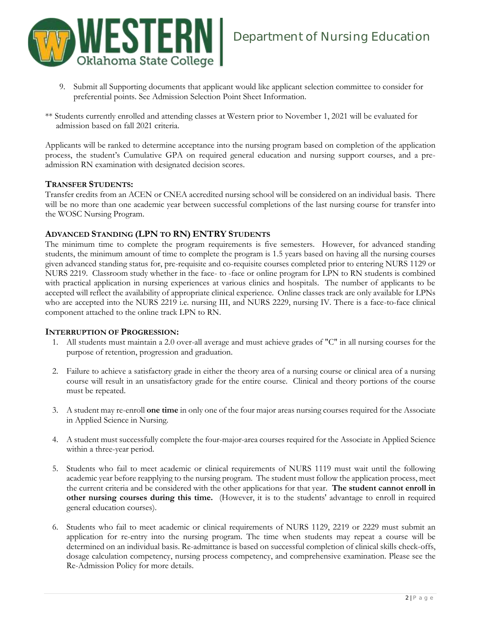

- 9. Submit all Supporting documents that applicant would like applicant selection committee to consider for preferential points. See Admission Selection Point Sheet Information.
- \*\* Students currently enrolled and attending classes at Western prior to November 1, 2021 will be evaluated for admission based on fall 2021 criteria.

Applicants will be ranked to determine acceptance into the nursing program based on completion of the application process, the student's Cumulative GPA on required general education and nursing support courses, and a preadmission RN examination with designated decision scores.

# **TRANSFER STUDENTS:**

Transfer credits from an ACEN or CNEA accredited nursing school will be considered on an individual basis. There will be no more than one academic year between successful completions of the last nursing course for transfer into the WOSC Nursing Program.

# **ADVANCED STANDING (LPN TO RN) ENTRY STUDENTS**

The minimum time to complete the program requirements is five semesters. However, for advanced standing students, the minimum amount of time to complete the program is 1.5 years based on having all the nursing courses given advanced standing status for, pre-requisite and co-requisite courses completed prior to entering NURS 1129 or NURS 2219. Classroom study whether in the face- to -face or online program for LPN to RN students is combined with practical application in nursing experiences at various clinics and hospitals. The number of applicants to be accepted will reflect the availability of appropriate clinical experience. Online classes track are only available for LPNs who are accepted into the NURS 2219 i.e. nursing III, and NURS 2229, nursing IV. There is a face-to-face clinical component attached to the online track LPN to RN.

#### **INTERRUPTION OF PROGRESSION:**

- 1. All students must maintain a 2.0 over-all average and must achieve grades of "C" in all nursing courses for the purpose of retention, progression and graduation.
- 2. Failure to achieve a satisfactory grade in either the theory area of a nursing course or clinical area of a nursing course will result in an unsatisfactory grade for the entire course. Clinical and theory portions of the course must be repeated.
- 3. A student may re-enroll **one time** in only one of the four major areas nursing courses required for the Associate in Applied Science in Nursing.
- 4. A student must successfully complete the four-major-area courses required for the Associate in Applied Science within a three-year period.
- 5. Students who fail to meet academic or clinical requirements of NURS 1119 must wait until the following academic year before reapplying to the nursing program. The student must follow the application process, meet the current criteria and be considered with the other applications for that year. **The student cannot enroll in other nursing courses during this time.** (However, it is to the students' advantage to enroll in required general education courses).
- 6. Students who fail to meet academic or clinical requirements of NURS 1129, 2219 or 2229 must submit an application for re-entry into the nursing program. The time when students may repeat a course will be determined on an individual basis. Re-admittance is based on successful completion of clinical skills check-offs, dosage calculation competency, nursing process competency, and comprehensive examination. Please see the Re-Admission Policy for more details.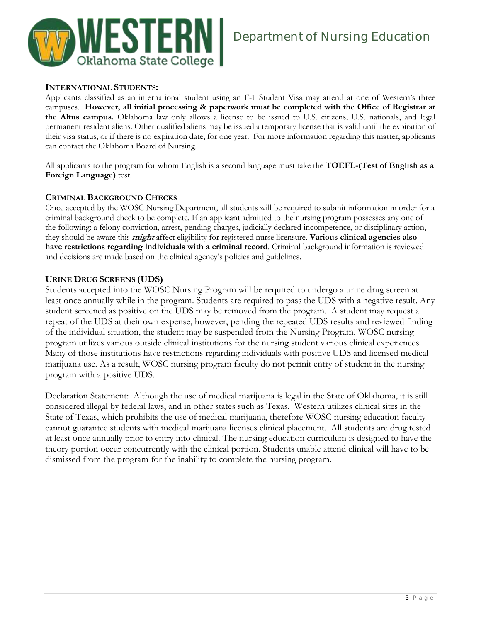

# **INTERNATIONAL STUDENTS:**

Applicants classified as an international student using an F-1 Student Visa may attend at one of Western's three campuses. **However, all initial processing & paperwork must be completed with the Office of Registrar at the Altus campus.** Oklahoma law only allows a license to be issued to U.S. citizens, U.S. nationals, and legal permanent resident aliens. Other qualified aliens may be issued a temporary license that is valid until the expiration of their visa status, or if there is no expiration date, for one year. For more information regarding this matter, applicants can contact the Oklahoma Board of Nursing.

All applicants to the program for whom English is a second language must take the **TOEFL-(Test of English as a Foreign Language)** test.

# **CRIMINAL BACKGROUND CHECKS**

Once accepted by the WOSC Nursing Department, all students will be required to submit information in order for a criminal background check to be complete. If an applicant admitted to the nursing program possesses any one of the following: a felony conviction, arrest, pending charges, judicially declared incompetence, or disciplinary action, they should be aware this **might** affect eligibility for registered nurse licensure. **Various clinical agencies also have restrictions regarding individuals with a criminal record**. Criminal background information is reviewed and decisions are made based on the clinical agency's policies and guidelines.

# **URINE DRUG SCREENS (UDS)**

Students accepted into the WOSC Nursing Program will be required to undergo a urine drug screen at least once annually while in the program. Students are required to pass the UDS with a negative result. Any student screened as positive on the UDS may be removed from the program. A student may request a repeat of the UDS at their own expense, however, pending the repeated UDS results and reviewed finding of the individual situation, the student may be suspended from the Nursing Program. WOSC nursing program utilizes various outside clinical institutions for the nursing student various clinical experiences. Many of those institutions have restrictions regarding individuals with positive UDS and licensed medical marijuana use. As a result, WOSC nursing program faculty do not permit entry of student in the nursing program with a positive UDS.

Declaration Statement: Although the use of medical marijuana is legal in the State of Oklahoma, it is still considered illegal by federal laws, and in other states such as Texas. Western utilizes clinical sites in the State of Texas, which prohibits the use of medical marijuana, therefore WOSC nursing education faculty cannot guarantee students with medical marijuana licenses clinical placement. All students are drug tested at least once annually prior to entry into clinical. The nursing education curriculum is designed to have the theory portion occur concurrently with the clinical portion. Students unable attend clinical will have to be dismissed from the program for the inability to complete the nursing program.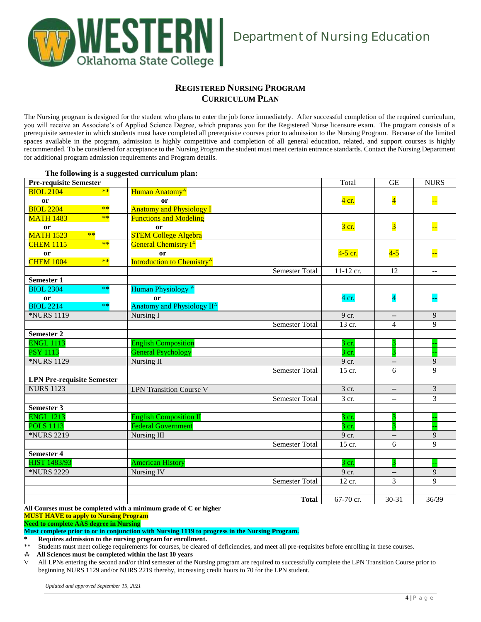

# **REGISTERED NURSING PROGRAM CURRICULUM PLAN**

The Nursing program is designed for the student who plans to enter the job force immediately. After successful completion of the required curriculum, you will receive an Associate's of Applied Science Degree, which prepares you for the Registered Nurse licensure exam. The program consists of a prerequisite semester in which students must have completed all prerequisite courses prior to admission to the Nursing Program. Because of the limited spaces available in the program, admission is highly competitive and completion of all general education, related, and support courses is highly recommended. To be considered for acceptance to the Nursing Program the student must meet certain entrance standards. Contact the Nursing Department for additional program admission requirements and Program details.

| <b>Pre-requisite Semester</b>     |                                                                     | Total              | <b>GE</b>                | <b>NURS</b>              |
|-----------------------------------|---------------------------------------------------------------------|--------------------|--------------------------|--------------------------|
| $**$<br><b>BIOL 2104</b>          | Human Anatomy <sup>*</sup>                                          |                    |                          |                          |
| or                                | <sub>or</sub>                                                       | $4$ cr.            | $\overline{\mathbf{4}}$  | ┡                        |
| <b>BIOL 2204</b><br>$**$          | <b>Anatomy and Physiology I</b>                                     |                    |                          |                          |
| $**$<br><b>MATH 1483</b>          | <b>Functions and Modeling</b>                                       |                    |                          |                          |
| or                                | or                                                                  | $3 \text{ cr.}$    | $\overline{\mathbf{3}}$  |                          |
| <b>MATH 1523</b><br>$**$          | <b>STEM College Algebra</b>                                         |                    |                          |                          |
| $**$<br><b>CHEM 1115</b>          | General Chemistry I <sup>*</sup>                                    |                    |                          |                          |
| or                                | <sub>or</sub>                                                       | 4-5 cr.            | $4-5$                    |                          |
| <b>CHEM 1004</b><br>$**$          | Introduction to Chemistry <sup>*</sup>                              |                    |                          |                          |
|                                   | <b>Semester Total</b>                                               | 11-12 cr.          | 12                       | $\overline{\phantom{a}}$ |
| <b>Semester 1</b>                 |                                                                     |                    |                          |                          |
| $\ast\ast$<br><b>BIOL 2304</b>    | Human Physiology <sup>4</sup>                                       |                    |                          |                          |
| or                                | or                                                                  | 4 cr.              | $\overline{\mathbf{4}}$  |                          |
| <b>BIOL 2214</b><br>$**$          | Anatomy and Physiology II <sup>*</sup>                              |                    |                          |                          |
| *NURS 1119                        | Nursing I                                                           | 9 cr.              |                          | 9                        |
|                                   | <b>Semester Total</b>                                               | 13 cr.             | 4                        | 9                        |
| <b>Semester 2</b>                 |                                                                     |                    |                          |                          |
| <b>ENGL 1113</b>                  | <b>English Composition</b>                                          | $3$ cr.            |                          |                          |
| <b>PSY 1113</b>                   | <b>General Psychology</b>                                           | 3 cr.              |                          |                          |
| <b>*NURS 1129</b>                 | Nursing II                                                          | 9 cr.              | $- -$                    | 9                        |
|                                   | <b>Semester Total</b>                                               | 15 cr.             | 6                        | $\mathbf Q$              |
| <b>LPN Pre-requisite Semester</b> |                                                                     |                    |                          |                          |
| <b>NURS 1123</b>                  | LPN Transition Course V                                             | 3 cr.              | $\overline{\phantom{a}}$ | 3                        |
|                                   | <b>Semester Total</b>                                               | $\overline{3}$ cr. | $-\,-$                   | 3                        |
| Semester 3                        |                                                                     |                    |                          |                          |
| <b>ENGL 1213</b>                  | <b>English Composition II</b>                                       | 3 cr.              |                          |                          |
| <b>POLS 1113</b>                  | <b>Federal Government</b>                                           | $3 \text{ cr.}$    |                          |                          |
| *NURS 2219                        | Nursing III                                                         | 9 cr.              | $\overline{\phantom{a}}$ | 9                        |
|                                   | <b>Semester Total</b>                                               | 15 cr.             | 6                        | 9                        |
| <b>Semester 4</b>                 |                                                                     |                    |                          |                          |
| <b>HIST 1483/93</b>               | <b>American History</b>                                             | 3 cr.              | 3                        |                          |
| <b>*NURS 2229</b>                 | Nursing IV                                                          | 9 cr.              | $\overline{\phantom{a}}$ | 9                        |
|                                   | Semester Total                                                      | 12 cr.             | 3                        | $\mathbf Q$              |
|                                   |                                                                     |                    |                          |                          |
|                                   | <b>Total</b>                                                        | 67-70 cr.          | $30 - 31$                | 36/39                    |
|                                   | All Courses must be completed with a minimum grade of $C$ or higher |                    |                          |                          |

#### **The following is a suggested curriculum plan:**

leted with a minimum grade of **C** 

**MUST HAVE to apply to Nursing Program**

**Need to complete AAS degree in Nursing**

**Must complete prior to or in conjunction with Nursing 1119 to progress in the Nursing Program.**

**\* Requires admission to the nursing program for enrollment.**<br> **\*\*** Students must meet college requirements for courses be cleared

Students must meet college requirements for courses, be cleared of deficiencies, and meet all pre-requisites before enrolling in these courses.

**All Sciences must be completed within the last 10 years**

 All LPNs entering the second and/or third semester of the Nursing program are required to successfully complete the LPN Transition Course prior to beginning NURS 1129 and/or NURS 2219 thereby, increasing credit hours to 70 for the LPN student.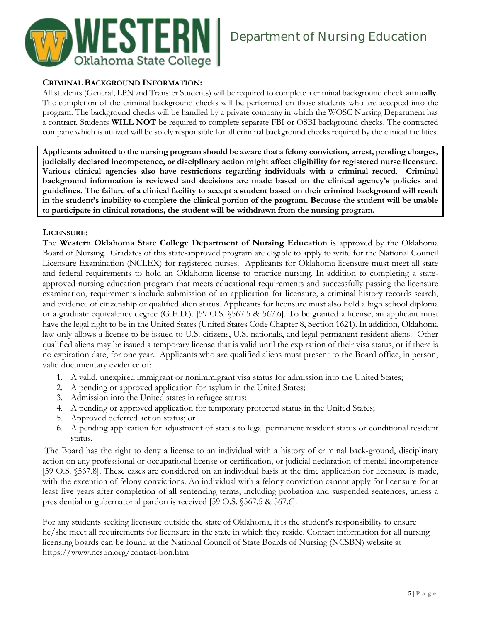

# **CRIMINAL BACKGROUND INFORMATION:**

All students (General, LPN and Transfer Students) will be required to complete a criminal background check **annually**. The completion of the criminal background checks will be performed on those students who are accepted into the program. The background checks will be handled by a private company in which the WOSC Nursing Department has a contract. Students **WILL NOT** be required to complete separate FBI or OSBI background checks. The contracted company which is utilized will be solely responsible for all criminal background checks required by the clinical facilities.

**Applicants admitted to the nursing program should be aware that a felony conviction, arrest, pending charges, judicially declared incompetence, or disciplinary action might affect eligibility for registered nurse licensure. Various clinical agencies also have restrictions regarding individuals with a criminal record. Criminal background information is reviewed and decisions are made based on the clinical agency's policies and guidelines. The failure of a clinical facility to accept a student based on their criminal background will result in the student's inability to complete the clinical portion of the program. Because the student will be unable to participate in clinical rotations, the student will be withdrawn from the nursing program.**

### **LICENSURE**:

The **Western Oklahoma State College Department of Nursing Education** is approved by the Oklahoma Board of Nursing. Gradates of this state-approved program are eligible to apply to write for the National Council Licensure Examination (NCLEX) for registered nurses. Applicants for Oklahoma licensure must meet all state and federal requirements to hold an Oklahoma license to practice nursing. In addition to completing a stateapproved nursing education program that meets educational requirements and successfully passing the licensure examination, requirements include submission of an application for licensure, a criminal history records search, and evidence of citizenship or qualified alien status. Applicants for licensure must also hold a high school diploma or a graduate equivalency degree (G.E.D.). [59 O.S. §567.5 & 567.6]. To be granted a license, an applicant must have the legal right to be in the United States (United States Code Chapter 8, Section 1621). In addition, Oklahoma law only allows a license to be issued to U.S. citizens, U.S. nationals, and legal permanent resident aliens. Other qualified aliens may be issued a temporary license that is valid until the expiration of their visa status, or if there is no expiration date, for one year. Applicants who are qualified aliens must present to the Board office, in person, valid documentary evidence of:

- 1. A valid, unexpired immigrant or nonimmigrant visa status for admission into the United States;
- 2. A pending or approved application for asylum in the United States;
- 3. Admission into the United states in refugee status;
- 4. A pending or approved application for temporary protected status in the United States;
- 5. Approved deferred action status; or
- 6. A pending application for adjustment of status to legal permanent resident status or conditional resident status.

The Board has the right to deny a license to an individual with a history of criminal back-ground, disciplinary action on any professional or occupational license or certification, or judicial declaration of mental incompetence [59 O.S. §567.8]. These cases are considered on an individual basis at the time application for licensure is made, with the exception of felony convictions. An individual with a felony conviction cannot apply for licensure for at least five years after completion of all sentencing terms, including probation and suspended sentences, unless a presidential or gubernatorial pardon is received [59 O.S. §567.5 & 567.6].

For any students seeking licensure outside the state of Oklahoma, it is the student's responsibility to ensure he/she meet all requirements for licensure in the state in which they reside. Contact information for all nursing licensing boards can be found at the National Council of State Boards of Nursing (NCSBN) website at https://www.ncsbn.org/contact-bon.htm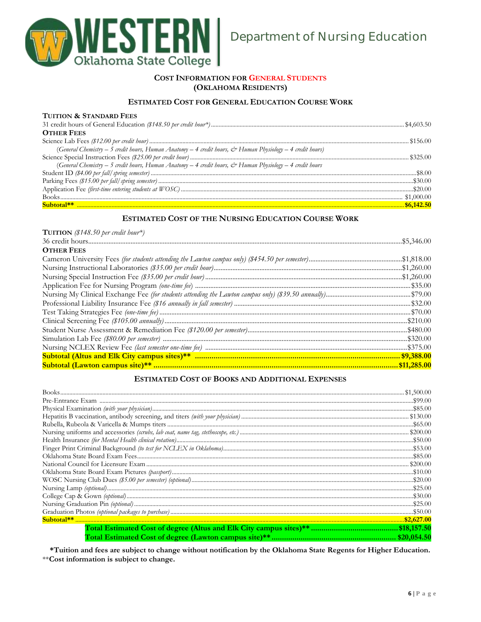

### COST INFORMATION FOR GENERAL STUDENTS (OKLAHOMA RESIDENTS)

# ESTIMATED COST FOR GENERAL EDUCATION COURSE WORK

#### TUITION & STANDARD FEES

| <b>OTHER FEES</b>                                                                                         |  |
|-----------------------------------------------------------------------------------------------------------|--|
|                                                                                                           |  |
| (General Chemistry – 5 credit hours, Human Anatomy – 4 credit hours, & Human Physiology – 4 credit hours) |  |
|                                                                                                           |  |
| (General Chemistry – 5 credit hours, Human Anatomy – 4 credit hours, & Human Physiology – 4 credit hours  |  |
|                                                                                                           |  |
|                                                                                                           |  |
|                                                                                                           |  |
|                                                                                                           |  |
|                                                                                                           |  |

# ESTIMATED COST OF THE NURSING EDUCATION COURSE WORK

| <b>TUITION</b> (\$148.50 per credit hour*) |
|--------------------------------------------|
|                                            |
| <b>OTHER FEES</b>                          |
|                                            |
|                                            |
|                                            |
|                                            |
|                                            |
|                                            |
|                                            |
|                                            |
|                                            |
|                                            |
|                                            |
|                                            |
|                                            |

#### **ESTIMATED COST OF BOOKS AND ADDITIONAL EXPENSES**

| \$20.054.50 |
|-------------|

\*Tuition and fees are subject to change without notification by the Oklahoma State Regents for Higher Education. \*\*Cost information is subject to change.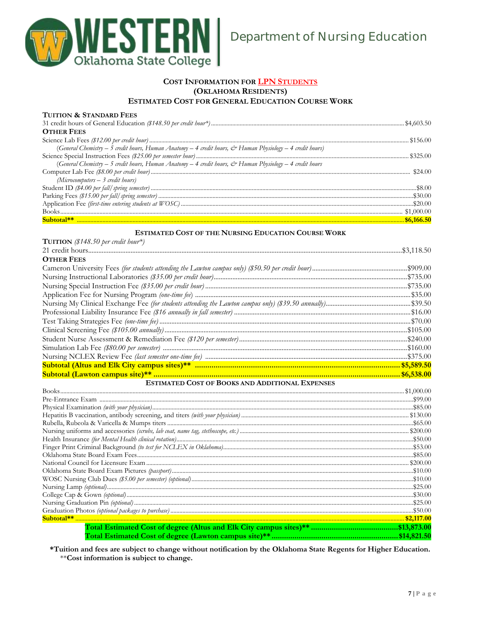

#### COST INFORMATION FOR LPN STUDENTS (OKLAHOMA RESIDENTS) **ESTIMATED COST FOR GENERAL EDUCATION COURSE WORK**

#### THITION & STANDARD FEES

| <b>OTHER FEES</b>                                                                                                          |  |
|----------------------------------------------------------------------------------------------------------------------------|--|
|                                                                                                                            |  |
| (General Chemistry - 5 credit hours, Human Anatomy - 4 credit hours, & Human Physiology - 4 credit hours)                  |  |
|                                                                                                                            |  |
| (General Chemistry – 5 credit hours, Human Anatomy – 4 credit hours, $\dot{\mathcal{C}}$ Human Physiology – 4 credit hours |  |
|                                                                                                                            |  |
| $(Microcomputers - 3 credit hours)$                                                                                        |  |
|                                                                                                                            |  |
|                                                                                                                            |  |
|                                                                                                                            |  |
|                                                                                                                            |  |
|                                                                                                                            |  |

#### **ESTIMATED COST OF THE NURSING EDUCATION COURSE WORK**

| <b>TUITION</b> (\$148.50 per credit hour*)             |  |
|--------------------------------------------------------|--|
|                                                        |  |
| <b>OTHER FEES</b>                                      |  |
|                                                        |  |
|                                                        |  |
|                                                        |  |
|                                                        |  |
|                                                        |  |
|                                                        |  |
|                                                        |  |
|                                                        |  |
|                                                        |  |
|                                                        |  |
|                                                        |  |
|                                                        |  |
|                                                        |  |
| <b>ESTIMATED COST OF BOOKS AND ADDITIONAL EXPENSES</b> |  |
|                                                        |  |
|                                                        |  |
|                                                        |  |
|                                                        |  |
|                                                        |  |
|                                                        |  |

\*Tuition and fees are subject to change without notification by the Oklahoma State Regents for Higher Education. \*\*Cost information is subject to change.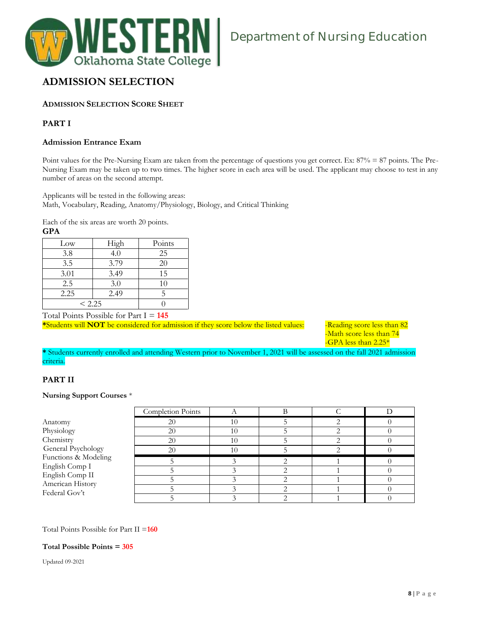

# **ADMISSION SELECTION**

# **ADMISSION SELECTION SCORE SHEET**

# **PART I**

### **Admission Entrance Exam**

Point values for the Pre-Nursing Exam are taken from the percentage of questions you get correct. Ex: 87% = 87 points. The Pre-Nursing Exam may be taken up to two times. The higher score in each area will be used. The applicant may choose to test in any number of areas on the second attempt.

Applicants will be tested in the following areas: Math, Vocabulary, Reading, Anatomy/Physiology, Biology, and Critical Thinking

Each of the six areas are worth 20 points. **GPA**

| $_{\rm Low}$ | High | Points |
|--------------|------|--------|
| 3.8          | 4.0  | 25     |
| 3.5          | 3.79 | 20     |
| 3.01         | 3.49 | 15     |
| 2.5          | 3.0  | 10     |
| 2.25         | 2.49 |        |
| < 2.25       |      |        |

Total Points Possible for Part I = **145**

\*Students will **NOT** be considered for admission if they score below the listed values: - -Reading score less than 82

-Math score less than 74 -GPA less than 2.25\*

**\*** Students currently enrolled and attending Western prior to November 1, 2021 will be assessed on the fall 2021 admission criteria.

# **PART II**

#### **Nursing Support Courses** \*

|                                   | Completion Points |  |  |
|-----------------------------------|-------------------|--|--|
| Anatomy                           | 20                |  |  |
| Physiology                        | 20                |  |  |
| Chemistry                         | 20                |  |  |
| General Psychology                | 20                |  |  |
| Functions & Modeling              |                   |  |  |
| English Comp I<br>English Comp II |                   |  |  |
| American History                  |                   |  |  |
| Federal Gov't                     |                   |  |  |
|                                   |                   |  |  |

#### Total Points Possible for Part II =**160**

#### **Total Possible Points = 305**

Updated 09-2021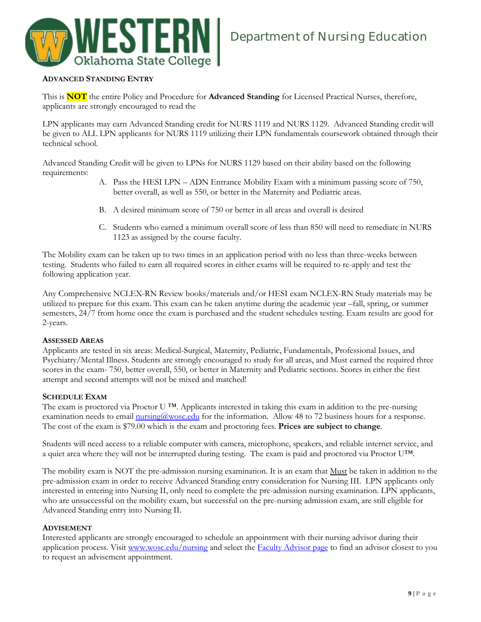

## **ADVANCED STANDING ENTRY**

This is **NOT** the entire Policy and Procedure for **Advanced Standing** for Licensed Practical Nurses, therefore, applicants are strongly encouraged to read the

LPN applicants may earn Advanced Standing credit for NURS 1119 and NURS 1129. Advanced Standing credit will be given to ALL LPN applicants for NURS 1119 utilizing their LPN fundamentals coursework obtained through their technical school.

Advanced Standing Credit will be given to LPNs for NURS 1129 based on their ability based on the following requirements:

- A. Pass the HESI LPN ADN Entrance Mobility Exam with a minimum passing score of 750, better overall, as well as 550, or better in the Maternity and Pediatric areas.
- B. A desired minimum score of 750 or better in all areas and overall is desired
- C. Students who earned a minimum overall score of less than 850 will need to remediate in NURS 1123 as assigned by the course faculty.

The Mobility exam can be taken up to two times in an application period with no less than three-weeks between testing. Students who failed to earn all required scores in either exams will be required to re-apply and test the following application year.

Any Comprehensive NCLEX-RN Review books/materials and/or HESI exam NCLEX-RN Study materials may be utilized to prepare for this exam. This exam can be taken anytime during the academic year –fall, spring, or summer semesters, 24/7 from home once the exam is purchased and the student schedules testing. Exam results are good for 2-years.

#### **ASSESSED AREAS**

Applicants are tested in six areas: Medical-Surgical, Maternity, Pediatric, Fundamentals, Professional Issues, and Psychiatry/Mental Illness. Students are strongly encouraged to study for all areas, and Must earned the required three scores in the exam- 750, better overall, 550, or better in Maternity and Pediatric sections. Scores in either the first attempt and second attempts will not be mixed and matched!

#### **SCHEDULE EXAM**

The exam is proctored via Proctor U ™. Applicants interested in taking this exam in addition to the pre-nursing examination needs to email  $\frac{\text{quisson}}{\text{m} \cdot \text{s} \cdot \text{m}}$  for the information. Allow 48 to 72 business hours for a response. The cost of the exam is \$79.00 which is the exam and proctoring fees. **Prices are subject to change**.

Students will need access to a reliable computer with camera, microphone, speakers, and reliable internet service, and a quiet area where they will not be interrupted during testing. The exam is paid and proctored via Proctor U™.

The mobility exam is NOT the pre-admission nursing examination. It is an exam that Must be taken in addition to the pre-admission exam in order to receive Advanced Standing entry consideration for Nursing III. LPN applicants only interested in entering into Nursing II, only need to complete the pre-admission nursing examination. LPN applicants, who are unsuccessful on the mobility exam, but successful on the pre-nursing admission exam, are still eligible for Advanced Standing entry into Nursing II.

#### **ADVISEMENT**

Interested applicants are strongly encouraged to schedule an appointment with their nursing advisor during their application process. Visit [www.wosc.edu/nursing](http://www.wosc.edu/nursing) and select the **Faculty Advisor page** to find an advisor closest to you to request an advisement appointment.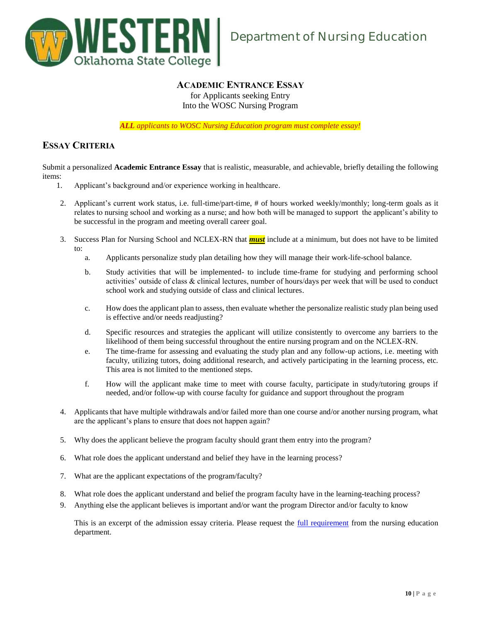

# **ACADEMIC ENTRANCE ESSAY**

for Applicants seeking Entry Into the WOSC Nursing Program

*ALL applicants to WOSC Nursing Education program must complete essay!*

# **ESSAY CRITERIA**

Submit a personalized **Academic Entrance Essay** that is realistic, measurable, and achievable, briefly detailing the following items:

- 1. Applicant's background and/or experience working in healthcare.
- 2. Applicant's current work status, i.e. full-time/part-time, # of hours worked weekly/monthly; long-term goals as it relates to nursing school and working as a nurse; and how both will be managed to support the applicant's ability to be successful in the program and meeting overall career goal.
- 3. Success Plan for Nursing School and NCLEX-RN that *must* include at a minimum, but does not have to be limited to:
	- a. Applicants personalize study plan detailing how they will manage their work-life-school balance.
	- b. Study activities that will be implemented- to include time-frame for studying and performing school activities' outside of class & clinical lectures, number of hours/days per week that will be used to conduct school work and studying outside of class and clinical lectures.
	- c. How does the applicant plan to assess, then evaluate whether the personalize realistic study plan being used is effective and/or needs readjusting?
	- d. Specific resources and strategies the applicant will utilize consistently to overcome any barriers to the likelihood of them being successful throughout the entire nursing program and on the NCLEX-RN.
	- e. The time-frame for assessing and evaluating the study plan and any follow-up actions, i.e. meeting with faculty, utilizing tutors, doing additional research, and actively participating in the learning process, etc. This area is not limited to the mentioned steps.
	- f. How will the applicant make time to meet with course faculty, participate in study/tutoring groups if needed, and/or follow-up with course faculty for guidance and support throughout the program
- 4. Applicants that have multiple withdrawals and/or failed more than one course and/or another nursing program, what are the applicant's plans to ensure that does not happen again?
- 5. Why does the applicant believe the program faculty should grant them entry into the program?
- 6. What role does the applicant understand and belief they have in the learning process?
- 7. What are the applicant expectations of the program/faculty?
- 8. What role does the applicant understand and belief the program faculty have in the learning-teaching process?
- 9. Anything else the applicant believes is important and/or want the program Director and/or faculty to know

This is an excerpt of the admission essay criteria. Please request the <u>full requirement</u> from the nursing education department.